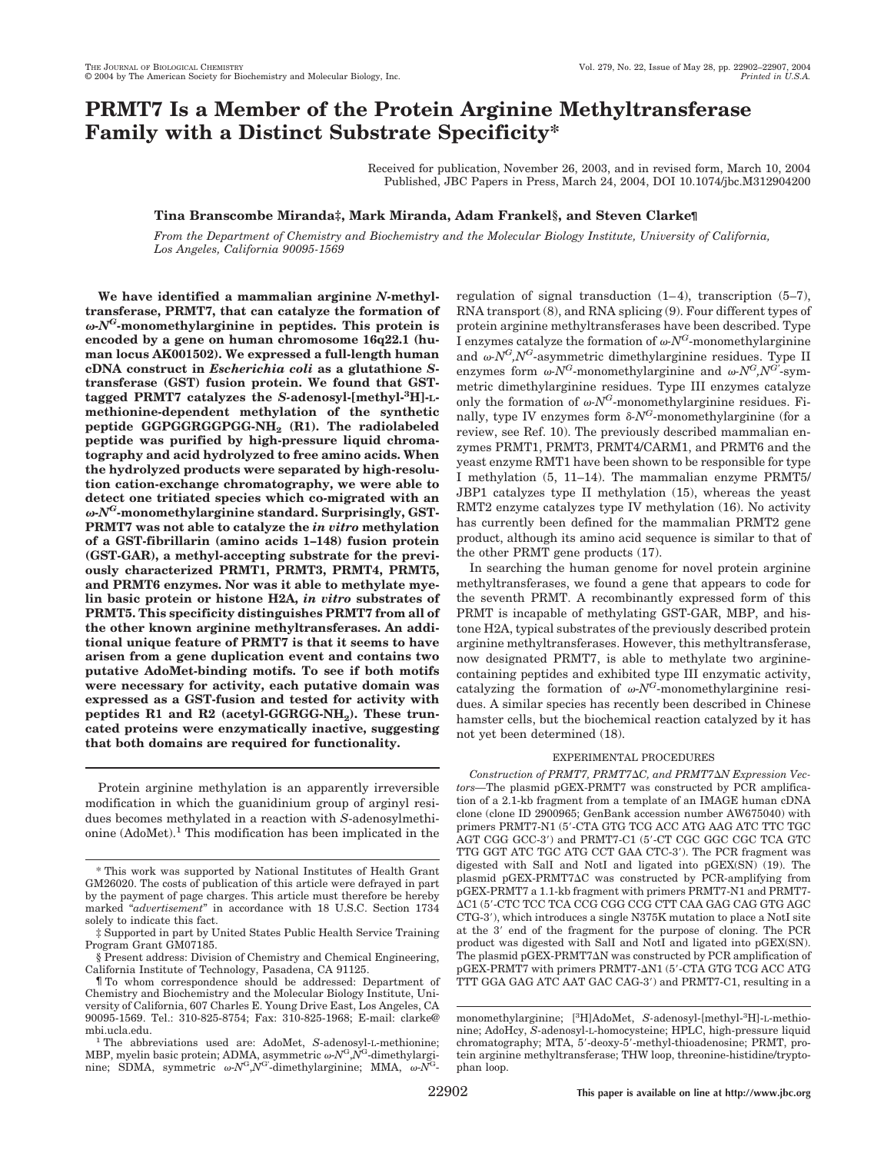# **PRMT7 Is a Member of the Protein Arginine Methyltransferase Family with a Distinct Substrate Specificity\***

Received for publication, November 26, 2003, and in revised form, March 10, 2004 Published, JBC Papers in Press, March 24, 2004, DOI 10.1074/jbc.M312904200

## **Tina Branscombe Miranda‡, Mark Miranda, Adam Frankel§, and Steven Clarke¶**

*From the Department of Chemistry and Biochemistry and the Molecular Biology Institute, University of California, Los Angeles, California 90095-1569*

**We have identified a mammalian arginine** *N***-methyltransferase, PRMT7, that can catalyze the formation of -***NG***-monomethylarginine in peptides. This protein is encoded by a gene on human chromosome 16q22.1 (human locus AK001502). We expressed a full-length human cDNA construct in** *Escherichia coli* **as a glutathione** *S***transferase (GST) fusion protein. We found that GSTtagged PRMT7 catalyzes the** *S-***adenosyl-[methyl-3 H]-Lmethionine-dependent methylation of the synthetic peptide GGPGGRGGPGG-NH2 (R1). The radiolabeled peptide was purified by high-pressure liquid chromatography and acid hydrolyzed to free amino acids. When the hydrolyzed products were separated by high-resolution cation-exchange chromatography, we were able to detect one tritiated species which co-migrated with an -***NG***-monomethylarginine standard. Surprisingly, GST-PRMT7 was not able to catalyze the** *in vitro* **methylation of a GST-fibrillarin (amino acids 1–148) fusion protein (GST-GAR), a methyl-accepting substrate for the previously characterized PRMT1, PRMT3, PRMT4, PRMT5, and PRMT6 enzymes. Nor was it able to methylate myelin basic protein or histone H2A,** *in vitro* **substrates of PRMT5. This specificity distinguishes PRMT7 from all of the other known arginine methyltransferases. An additional unique feature of PRMT7 is that it seems to have arisen from a gene duplication event and contains two putative AdoMet-binding motifs. To see if both motifs were necessary for activity, each putative domain was expressed as a GST-fusion and tested for activity with** peptides R1 and R2 (acetyl-GGRGG-NH<sub>2</sub>). These trun**cated proteins were enzymatically inactive, suggesting that both domains are required for functionality.**

Protein arginine methylation is an apparently irreversible modification in which the guanidinium group of arginyl residues becomes methylated in a reaction with *S*-adenosylmethionine  $(AdoMet).<sup>1</sup>$  This modification has been implicated in the regulation of signal transduction (1–4), transcription (5–7), RNA transport (8), and RNA splicing (9). Four different types of protein arginine methyltransferases have been described. Type I enzymes catalyze the formation of  $\omega N^G$ -monomethylarginine and  $\omega N^G N^G$ -asymmetric dimethylarginine residues. Type II enzymes form  $\omega N^G$ -monomethylarginine and  $\omega N^G N^{G'}$ -symmetric dimethylarginine residues. Type III enzymes catalyze only the formation of  $\omega N^G$ -monomethylarginine residues. Finally, type IV enzymes form  $\delta$ -*N<sup>G*</sup>-monomethylarginine (for a review, see Ref. 10). The previously described mammalian enzymes PRMT1, PRMT3, PRMT4/CARM1, and PRMT6 and the yeast enzyme RMT1 have been shown to be responsible for type I methylation (5, 11–14). The mammalian enzyme PRMT5/ JBP1 catalyzes type II methylation (15), whereas the yeast RMT2 enzyme catalyzes type IV methylation (16). No activity has currently been defined for the mammalian PRMT2 gene product, although its amino acid sequence is similar to that of the other PRMT gene products (17).

In searching the human genome for novel protein arginine methyltransferases, we found a gene that appears to code for the seventh PRMT. A recombinantly expressed form of this PRMT is incapable of methylating GST-GAR, MBP, and histone H2A, typical substrates of the previously described protein arginine methyltransferases. However, this methyltransferase, now designated PRMT7, is able to methylate two argininecontaining peptides and exhibited type III enzymatic activity, catalyzing the formation of  $\omega N^G$ -monomethylarginine residues. A similar species has recently been described in Chinese hamster cells, but the biochemical reaction catalyzed by it has not yet been determined (18).

## EXPERIMENTAL PROCEDURES

*Construction of PRMT7, PRMT7C, and PRMT7N Expression Vectors—*The plasmid pGEX-PRMT7 was constructed by PCR amplification of a 2.1-kb fragment from a template of an IMAGE human cDNA clone (clone ID 2900965; GenBank accession number AW675040) with primers PRMT7-N1 (5'-CTA GTG TCG ACC ATG AAG ATC TTC TGC AGT CGG GCC-3′) and PRMT7-C1 (5′-CT CGC GGC CGC TCA GTC TTG GGT ATC TGC ATG CCT GAA CTC-3'). The PCR fragment was digested with SalI and NotI and ligated into pGEX(SN) (19). The plasmid pGEX-PRMT7 $\Delta C$  was constructed by PCR-amplifying from pGEX-PRMT7 a 1.1-kb fragment with primers PRMT7-N1 and PRMT7- C1 (5--CTC TCC TCA CCG CGG CCG CTT CAA GAG CAG GTG AGC CTG-3'), which introduces a single N375K mutation to place a NotI site at the 3' end of the fragment for the purpose of cloning. The PCR product was digested with SalI and NotI and ligated into pGEX(SN). The plasmid pGEX-PRMT7 $\Delta N$  was constructed by PCR amplification of pGEX-PRMT7 with primers PRMT7-ΔN1 (5'-CTA GTG TCG ACC ATG TTT GGA GAG ATC AAT GAC CAG-3') and PRMT7-C1, resulting in a

<sup>\*</sup> This work was supported by National Institutes of Health Grant GM26020. The costs of publication of this article were defrayed in part by the payment of page charges. This article must therefore be hereby marked "*advertisement*" in accordance with 18 U.S.C. Section 1734 solely to indicate this fact.

<sup>‡</sup> Supported in part by United States Public Health Service Training Program Grant GM07185.

<sup>§</sup> Present address: Division of Chemistry and Chemical Engineering, California Institute of Technology, Pasadena, CA 91125.

<sup>¶</sup> To whom correspondence should be addressed: Department of Chemistry and Biochemistry and the Molecular Biology Institute, University of California, 607 Charles E. Young Drive East, Los Angeles, CA 90095-1569. Tel.: 310-825-8754; Fax: 310-825-1968; E-mail: clarke@

mbi.ucla.edu. <sup>1</sup> The abbreviations used are: AdoMet, *<sup>S</sup>*-adenosyl-L-methionine; MBP, myelin basic protein; ADMA, asymmetric  $\omega$ -*N*<sup>G</sup>, $N$ <sup>G</sup>-dimethylarginine; SDMA, symmetric ω- $N^G$ ,  $N^G$ -dimethylarginine; MMA, ω- $N^G$ -

monomethylarginine; [<sup>3</sup>H]AdoMet, S-adenosyl-[methyl-<sup>3</sup>H]-L-methionine; AdoHcy, *S*-adenosyl-L-homocysteine; HPLC, high-pressure liquid chromatography; MTA, 5'-deoxy-5'-methyl-thioadenosine; PRMT, protein arginine methyltransferase; THW loop, threonine-histidine/tryptophan loop.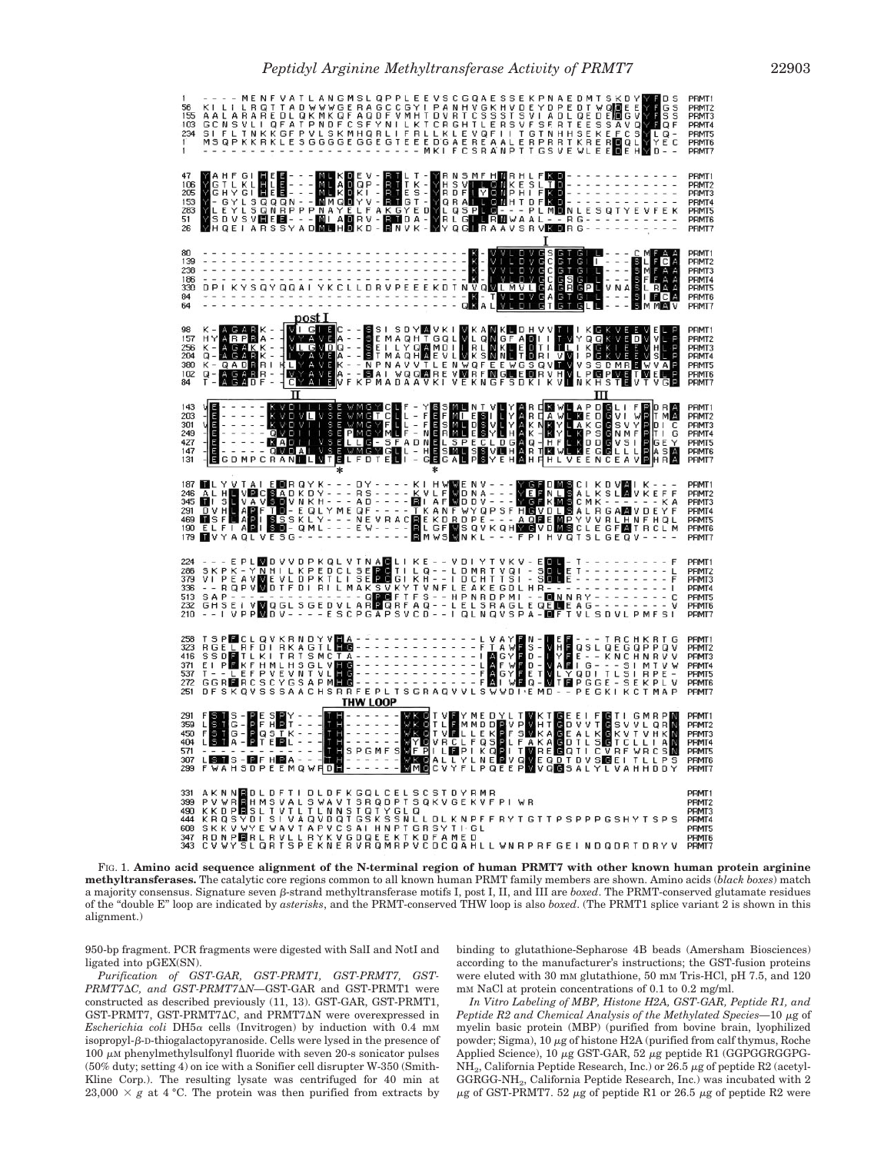| 155<br>103<br>234                                                                                                                                                                                                                                                                                                       | ---- MENT TADWWGERAGECGY   PANHVGKHVDEYDPEDT WODE ENT<br>AALARAREDLQKMKQF AQDFVMHTDVRTCSSSTSVI ADLQEDE <mark>N</mark> GVYT<br>GCNSVLI QFATPNDFCSFYNILKTLCKLEVGFII TGTNHHSEKEFCSYL<br>SI FLTNKKGFPVLSKMHQRLIFRLLKLEVQFII TGTNHHSEKEFCSYL<br>MSQPKKRKLESG |                             |                |                                                                                                                                                                                                                                                    |                                    |                                                                                                |   |    |        | ANG                |  |  | MSLQPPLEE       |  |  |  | <b>VSC</b> |  | GUAE                                                                                                                                                                                                                                          | SSE |  |     | NAE                                                                                                                                   | Ð |         |  |  |                          | s<br>QF<br>Q -                                                                                                                                         | s<br>C        | PRMT1<br>PRMT2<br>PRMT3<br>PRMT4<br>PRMT5<br>PRMT6<br>PRMT7             |
|-------------------------------------------------------------------------------------------------------------------------------------------------------------------------------------------------------------------------------------------------------------------------------------------------------------------------|---------------------------------------------------------------------------------------------------------------------------------------------------------------------------------------------------------------------------------------------------------|-----------------------------|----------------|----------------------------------------------------------------------------------------------------------------------------------------------------------------------------------------------------------------------------------------------------|------------------------------------|------------------------------------------------------------------------------------------------|---|----|--------|--------------------|--|--|-----------------|--|--|--|------------|--|-----------------------------------------------------------------------------------------------------------------------------------------------------------------------------------------------------------------------------------------------|-----|--|-----|---------------------------------------------------------------------------------------------------------------------------------------|---|---------|--|--|--------------------------|--------------------------------------------------------------------------------------------------------------------------------------------------------|---------------|-------------------------------------------------------------------------|
| 47<br>106<br>205<br>153<br>283<br>51<br>26                                                                                                                                                                                                                                                                              |                                                                                                                                                                                                                                                         |                             |                | A H F G I <b>H E B - - - M L K D</b> E V - E T L T - Y R N S M F H M R H L F <b>K D - -</b><br>G T L K L H L B - - - M L A D Q P - E T T K - Y R B V L L O M K E S - Y R B F L V O M P H L F <b>M G - -</b><br>- G Y L S Q Q Q N - - M M Q D Y V - |                                    |                                                                                                |   |    |        |                    |  |  |                 |  |  |  |            |  |                                                                                                                                                                                                                                               |     |  |     |                                                                                                                                       |   |         |  |  |                          | NLESQTYEVFEK<br>RG----------                                                                                                                           |               | PRMT1<br>PRMT2<br>PRMT3<br>PRMT4<br>PRMT5<br>PRMT6<br>PRMT7             |
| 80<br>139<br>238<br>186<br>330<br>84<br>64                                                                                                                                                                                                                                                                              |                                                                                                                                                                                                                                                         |                             |                |                                                                                                                                                                                                                                                    |                                    |                                                                                                |   |    | post 1 |                    |  |  |                 |  |  |  |            |  |                                                                                                                                                                                                                                               |     |  |     |                                                                                                                                       |   |         |  |  |                          | VGSGTGIL---- CMFAA<br>VGCGTGIL---- SMFAA<br>VGCGTGIL---- SFFAA<br>VGCGSGIL---- SFFAA<br>VGCGSGIL---- SFFAA<br>VGAGTGIL---- SMMAV<br>IGTGTGLL---- SMMAV |               | PRMT1<br>PRMT <sub>2</sub><br>PRMT3<br>PRMT4<br>PRMT5<br>PRMT6<br>PRMT7 |
| 98<br>157<br>256<br>204<br>380<br>102<br>84                                                                                                                                                                                                                                                                             | HYARPE<br>κ<br>Q<br>κ<br>$\overline{\phantom{0}}$<br>Q                                                                                                                                                                                                  | $\frac{\text{A}}{\text{A}}$ | $\overline{G}$ | МK<br>А<br>QADBR<br>AGABR                                                                                                                                                                                                                          | R<br>$\overline{\phantom{a}}$<br>R | $\frac{1}{2} \left( \frac{1}{2} \right) \left( \frac{1}{2} \right) \left( \frac{1}{2} \right)$ | 攌 | W. |        | TAVE N<br>TAVE NAT |  |  |                 |  |  |  |            |  | - - SSI SDYMVKI WKAMKIOHVVTIII KISKVEEVELP<br>- - SEMAQHMOLING CONGERADI I TULIKOKVEEWSILP<br>- - SEI LYOMMOLING MNUTIORI VMIPISKVEEWSILP<br>- - NPNAQHMEVLWKSMNUTIORI VMIPISKVEEWSILP<br>- - NPNAQQMREVWRFMGILEDRRYHWLPMGINVELP<br>- - SAI V |     |  |     |                                                                                                                                       |   |         |  |  |                          |                                                                                                                                                        |               | PRMT1<br>PRMT <sub>2</sub><br>PRMT3<br>PRMT4<br>PRMT5<br>PRMT6<br>PRMT7 |
| 143<br>203<br>301<br>249<br>427<br>147<br>131                                                                                                                                                                                                                                                                           |                                                                                                                                                                                                                                                         |                             |                | E - - - - - - KVOLTUSE WMGWCUF - YSSMUNT VUYAR CENUAP DISLIFE<br>E - - - - - KVOVUVSE WMGTCUL - FESMUNG VEYAR NAVUAK GEDOVI V<br>E - - - - - KVOVU I SEMMGTCUL - FESMUDSVUYAR NAVUAK GESVYP<br>E - - - - - MAQUILISEPMGYMUF - NERMUESYU            |                                    |                                                                                                |   |    |        |                    |  |  |                 |  |  |  |            |  |                                                                                                                                                                                                                                               |     |  |     | <b>EXWEAP</b><br>HEXTY LAKGE<br>HEXTY LAKGE<br>HEXTY LAKGE<br>HEXTY LAKGE<br>HEXTY LAKGE<br>HEXTY LAKGE<br>HEXTY LAKGE<br>HEXTY LAKGE |   |         |  |  | TΙ                       | MA<br>D I<br><b>GEY</b><br>ASA                                                                                                                         | <b>C</b><br>G | PRMT1<br>PRMT2<br>PRMT3<br>PRMT4<br>PRMT5<br>PRMT6<br>PRMT7             |
| 187<br>246<br>345<br>291<br>469<br>190<br>179                                                                                                                                                                                                                                                                           |                                                                                                                                                                                                                                                         |                             |                |                                                                                                                                                                                                                                                    |                                    |                                                                                                |   |    |        |                    |  |  |                 |  |  |  |            |  |                                                                                                                                                                                                                                               |     |  |     |                                                                                                                                       |   |         |  |  | $\overline{\phantom{a}}$ | RGAMVDEYF<br>YVVRLHNFHQL<br>CLEGF <b>M</b> TRCLM                                                                                                       |               | PRMT1<br>PRMT2<br>PRMT3<br>PRMT4<br>PRMT5<br>PRMT6<br>PRMT7             |
| 224<br>286<br>379<br>336<br>513<br>232<br>210                                                                                                                                                                                                                                                                           | --- E PL <b>M</b> DVVDPKQL VTNACLIKE -- V<br>SKPK -YNHILKPEDCL SEPOTIL LQ -- L<br>-- RQPVM DTFDI RILMAK SVKYTVNFL<br>-- RQPVM DTFDI RILMAK SVKYTVNFL<br>GHSE I VM QGL SGEDVLAR QRFTFS -- L<br>-- I VPPM DV - - - - E SCPGAP SVCD -- I                   |                             |                |                                                                                                                                                                                                                                                    |                                    |                                                                                                |   |    |        |                    |  |  |                 |  |  |  |            |  | DIYTVK                                                                                                                                                                                                                                        |     |  | EDL |                                                                                                                                       |   | $T - -$ |  |  |                          |                                                                                                                                                        |               | PRMT1<br>PRMT2<br>PRMT3<br>PRMT4<br>PRMT5<br>PRMT6<br>PRMT7             |
| 323<br>416<br>371<br>537<br>272<br>251                                                                                                                                                                                                                                                                                  |                                                                                                                                                                                                                                                         |                             |                |                                                                                                                                                                                                                                                    |                                    |                                                                                                |   |    |        |                    |  |  | <b>THW LOOP</b> |  |  |  |            |  |                                                                                                                                                                                                                                               |     |  |     |                                                                                                                                       |   |         |  |  |                          |                                                                                                                                                        |               | PRMT1<br>PRMT <sub>2</sub><br>PRMT3<br>PRMT4<br>PRMT5<br>PRMT6<br>PRMT7 |
| 450<br>404 L S T A - D T E D L - - - T H<br>571 - - - - - - - - - - - - - - - - - - T<br>307 L S T S - D F H D A - - - - - - - -<br>299 F WAHSDPEEMQWHD                                                                                                                                                                 | FSTS - PESPY - - - <mark>TH - - - - - - WK O</mark> T V FY MEDYLT WKT GEEI F GTI GMRP N<br>LST G - P F H 2T - - - TH - - - - - - - WK OT L B MM D D F V D HT G D V V T G S V V L Q R N<br>F S T G - P Q S I K - - - I T H - - - - - - WK OT V FI        |                             |                |                                                                                                                                                                                                                                                    |                                    |                                                                                                |   |    |        |                    |  |  |                 |  |  |  |            |  |                                                                                                                                                                                                                                               |     |  |     |                                                                                                                                       |   |         |  |  |                          |                                                                                                                                                        |               | PRMT1<br>PRMT2<br>PRMT3<br>PRMT4<br>PRMT5<br>PRMT6<br>PRMT7             |
| 331 AKNN BOL DFTI DL DFK GQL CEL S C ST DYRMR<br>399 PV WR <mark>R</mark> HMS VAL S WA VT SR Q DPT S Q K V G E K V F P I   WR<br>608 SKKVWYEWAVTAPVCSAIHNPTGRSYTIGL<br>347 RDNPIBERLRVLLRYKVGDQEEKTKDFAMED<br>343   C V W Y S L Q R T S P E K N E R V R Q M R P V C D C Q A H L L W N R P R F G E I N D Q D R T D R Y V |                                                                                                                                                                                                                                                         |                             |                |                                                                                                                                                                                                                                                    |                                    |                                                                                                |   |    |        |                    |  |  |                 |  |  |  |            |  |                                                                                                                                                                                                                                               |     |  |     |                                                                                                                                       |   |         |  |  |                          |                                                                                                                                                        |               | PRMT1<br>PRMT <sub>2</sub><br>PRMT3<br>PRMT4<br>PRMT5<br>PRMT6<br>PRMT7 |

FIG. 1. **Amino acid sequence alignment of the N-terminal region of human PRMT7 with other known human protein arginine methyltransferases.** The catalytic core regions common to all known human PRMT family members are shown. Amino acids (*black boxes*) match a majority consensus. Signature seven  $\beta$ -strand methyltransferase motifs I, post I, II, and III are *boxed*. The PRMT-conserved glutamate residues of the "double E" loop are indicated by *asterisks*, and the PRMT-conserved THW loop is also *boxed*. (The PRMT1 splice variant 2 is shown in this alignment.)

950-bp fragment. PCR fragments were digested with SalI and NotI and ligated into pGEX(SN).

*Purification of GST-GAR, GST-PRMT1, GST-PRMT7, GST-PRMT7C, and GST-PRMT7N—*GST-GAR and GST-PRMT1 were constructed as described previously (11, 13). GST-GAR, GST-PRMT1, GST-PRMT7, GST-PRMT7AC, and PRMT7AN were overexpressed in  $Escherichia coli DH5\alpha cells (Invitrogen) by induction with 0.4 mm$  $isopropyl-B-D-thiogalactopyranoside.$  Cells were lysed in the presence of  $100 \mu M$  phenylmethylsulfonyl fluoride with seven 20-s sonicator pulses (50% duty; setting 4) on ice with a Sonifier cell disrupter W-350 (Smith-Kline Corp.). The resulting lysate was centrifuged for 40 min at 23,000  $\times g$  at 4 °C. The protein was then purified from extracts by binding to glutathione-Sepharose 4B beads (Amersham Biosciences) according to the manufacturer's instructions; the GST-fusion proteins were eluted with 30 mM glutathione, 50 mM Tris-HCl, pH 7.5, and 120 mM NaCl at protein concentrations of 0.1 to 0.2 mg/ml.

*In Vitro Labeling of MBP, Histone H2A, GST-GAR, Peptide R1, and Peptide R2 and Chemical Analysis of the Methylated Species*-10 μg of myelin basic protein (MBP) (purified from bovine brain, lyophilized powder; Sigma), 10  $\mu$ g of histone H2A (purified from calf thymus, Roche Applied Science), 10  $\mu$ g GST-GAR, 52  $\mu$ g peptide R1 (GGPGGRGGPG-NH<sub>2</sub>, California Peptide Research, Inc.) or 26.5  $\mu$ g of peptide R2 (acetyl-GGRGG-NH2, California Peptide Research, Inc.) was incubated with 2  $\mu$ g of GST-PRMT7. 52  $\mu$ g of peptide R1 or 26.5  $\mu$ g of peptide R2 were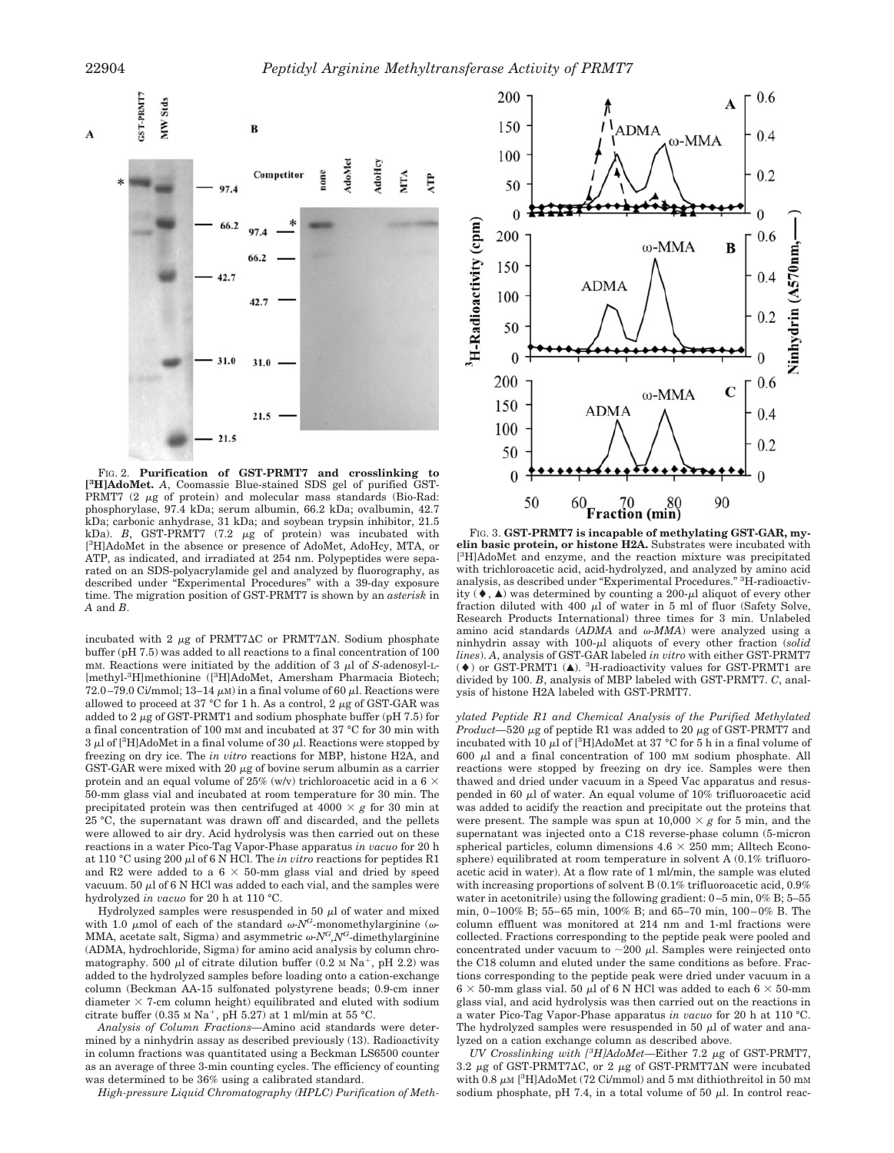

FIG. 2. **Purification of GST-PRMT7 and crosslinking to [ 3 H]AdoMet.** *A*, Coomassie Blue-stained SDS gel of purified GST-PRMT7 (2  $\mu$ g of protein) and molecular mass standards (Bio-Rad: phosphorylase, 97.4 kDa; serum albumin, 66.2 kDa; ovalbumin, 42.7 kDa; carbonic anhydrase, 31 kDa; and soybean trypsin inhibitor, 21.5 kDa).  $B$ , GST-PRMT7 (7.2  $\mu$ g of protein) was incubated with [<sup>3</sup>H]AdoMet in the absence or presence of AdoMet, AdoHcy, MTA, or ATP, as indicated, and irradiated at 254 nm. Polypeptides were separated on an SDS-polyacrylamide gel and analyzed by fluorography, as described under "Experimental Procedures" with a 39-day exposure time. The migration position of GST-PRMT7 is shown by an *asterisk* in *A* and *B*.

incubated with 2  $\mu$ g of PRMT7 $\Delta$ C or PRMT7 $\Delta$ N. Sodium phosphate buffer (pH 7.5) was added to all reactions to a final concentration of 100 mm. Reactions were initiated by the addition of  $3 \mu$  of *S*-adenosyl-L-[methyl-<sup>3</sup>H]methionine ([<sup>3</sup>H]AdoMet, Amersham Pharmacia Biotech; 72.0–79.0 Ci/mmol; 13–14  $\mu$ M) in a final volume of 60  $\mu$ l. Reactions were allowed to proceed at 37 °C for 1 h. As a control, 2  $\mu$ g of GST-GAR was added to 2  $\mu$ g of GST-PRMT1 and sodium phosphate buffer (pH 7.5) for a final concentration of 100 mM and incubated at 37 °C for 30 min with  $3 \mu$ l of [<sup>3</sup>H]AdoMet in a final volume of  $30 \mu$ l. Reactions were stopped by freezing on dry ice. The *in vitro* reactions for MBP, histone H2A, and GST-GAR were mixed with 20  $\mu$ g of bovine serum albumin as a carrier protein and an equal volume of 25% (w/v) trichloroacetic acid in a 6  $\times$ 50-mm glass vial and incubated at room temperature for 30 min. The precipitated protein was then centrifuged at  $4000 \times g$  for 30 min at 25 °C, the supernatant was drawn off and discarded, and the pellets were allowed to air dry. Acid hydrolysis was then carried out on these reactions in a water Pico-Tag Vapor-Phase apparatus *in vacuo* for 20 h at 110 °C using 200  $\mu$  of 6 N HCl. The *in vitro* reactions for peptides R1 and R2 were added to a  $6 \times 50$ -mm glass vial and dried by speed vacuum.  $50 \mu$ l of 6 N HCl was added to each vial, and the samples were hydrolyzed *in vacuo* for 20 h at 110 °C.

Hydrolyzed samples were resuspended in 50  $\mu$ l of water and mixed with 1.0  $\mu$ mol of each of the standard  $\omega$ -*N<sup>G</sup>*-monomethylarginine ( $\omega$ -MMA, acetate salt, Sigma) and asymmetric  $\omega N^G N^G$ -dimethylarginine (ADMA, hydrochloride, Sigma) for amino acid analysis by column chromatography. 500  $\mu$ l of citrate dilution buffer (0.2 M Na<sup>+</sup>, pH 2.2) was added to the hydrolyzed samples before loading onto a cation-exchange column (Beckman AA-15 sulfonated polystyrene beads; 0.9-cm inner diameter  $\times$  7-cm column height) equilibrated and eluted with sodium citrate buffer (0.35 M Na<sup>+</sup>, pH 5.27) at 1 ml/min at 55 °C.

*Analysis of Column Fractions—*Amino acid standards were determined by a ninhydrin assay as described previously (13). Radioactivity in column fractions was quantitated using a Beckman LS6500 counter as an average of three 3-min counting cycles. The efficiency of counting was determined to be 36% using a calibrated standard.

*High-pressure Liquid Chromatography (HPLC) Purification of Meth-*



FIG. 3. **GST-PRMT7 is incapable of methylating GST-GAR, myelin basic protein, or histone H2A.** Substrates were incubated with [<sup>3</sup>H]AdoMet and enzyme, and the reaction mixture was precipitated with trichloroacetic acid, acid-hydrolyzed, and analyzed by amino acid analysis, as described under "Experimental Procedures." <sup>3</sup> H-radioactivity  $(\blacklozenge, \blacktriangle)$  was determined by counting a 200- $\mu$ l aliquot of every other fraction diluted with 400  $\mu$ l of water in 5 ml of fluor (Safety Solve, Research Products International) three times for 3 min. Unlabeled amino acid standards  $(ADMA$  and  $\omega$ - $MMA$ ) were analyzed using a ninhydrin assay with 100-µl aliquots of every other fraction (*solid lines*). *A*, analysis of GST-GAR labeled *in vitro* with either GST-PRMT7  $(\blacklozenge)$  or GST-PRMT1  $(\blacktriangle)$ . <sup>3</sup>H-radioactivity values for GST-PRMT1 are divided by 100. *B*, analysis of MBP labeled with GST-PRMT7. *C*, analysis of histone H2A labeled with GST-PRMT7.

*ylated Peptide R1 and Chemical Analysis of the Purified Methylated Product*—520  $\mu$ g of peptide R1 was added to 20  $\mu$ g of GST-PRMT7 and incubated with 10  $\mu$ l of [<sup>3</sup>H]AdoMet at 37 °C for 5 h in a final volume of 600  $\mu$ l and a final concentration of 100 mM sodium phosphate. All reactions were stopped by freezing on dry ice. Samples were then thawed and dried under vacuum in a Speed Vac apparatus and resuspended in 60  $\mu$ l of water. An equal volume of 10% trifluoroacetic acid was added to acidify the reaction and precipitate out the proteins that were present. The sample was spun at  $10,000 \times g$  for 5 min, and the supernatant was injected onto a C18 reverse-phase column (5-micron spherical particles, column dimensions  $4.6 \times 250$  mm; Alltech Econosphere) equilibrated at room temperature in solvent A (0.1% trifluoroacetic acid in water). At a flow rate of 1 ml/min, the sample was eluted with increasing proportions of solvent B  $(0.1\% \text{ trifluoroacetic acid}, 0.9\%$ water in acetonitrile) using the following gradient: 0–5 min, 0% B; 5–55 min, 0–100% B; 55–65 min, 100% B; and 65–70 min, 100–0% B. The column effluent was monitored at 214 nm and 1-ml fractions were collected. Fractions corresponding to the peptide peak were pooled and concentrated under vacuum to  $\sim$ 200  $\mu$ l. Samples were reinjected onto the C18 column and eluted under the same conditions as before. Fractions corresponding to the peptide peak were dried under vacuum in a  $6 \times 50$ -mm glass vial. 50  $\mu$ l of 6 N HCl was added to each  $6 \times 50$ -mm glass vial, and acid hydrolysis was then carried out on the reactions in a water Pico-Tag Vapor-Phase apparatus *in vacuo* for 20 h at 110 °C. The hydrolyzed samples were resuspended in 50  $\mu$ l of water and analyzed on a cation exchange column as described above.

UV Crosslinking with [<sup>3</sup>H]AdoMet-Either 7.2 μg of GST-PRMT7, 3.2  $\mu$ g of GST-PRMT7 $\Delta$ C, or 2  $\mu$ g of GST-PRMT7 $\Delta$ N were incubated with 0.8  $\mu$ M [<sup>3</sup>H]AdoMet (72 Ci/mmol) and 5 mM dithiothreitol in 50 mM sodium phosphate, pH 7.4, in a total volume of 50  $\mu$ l. In control reac-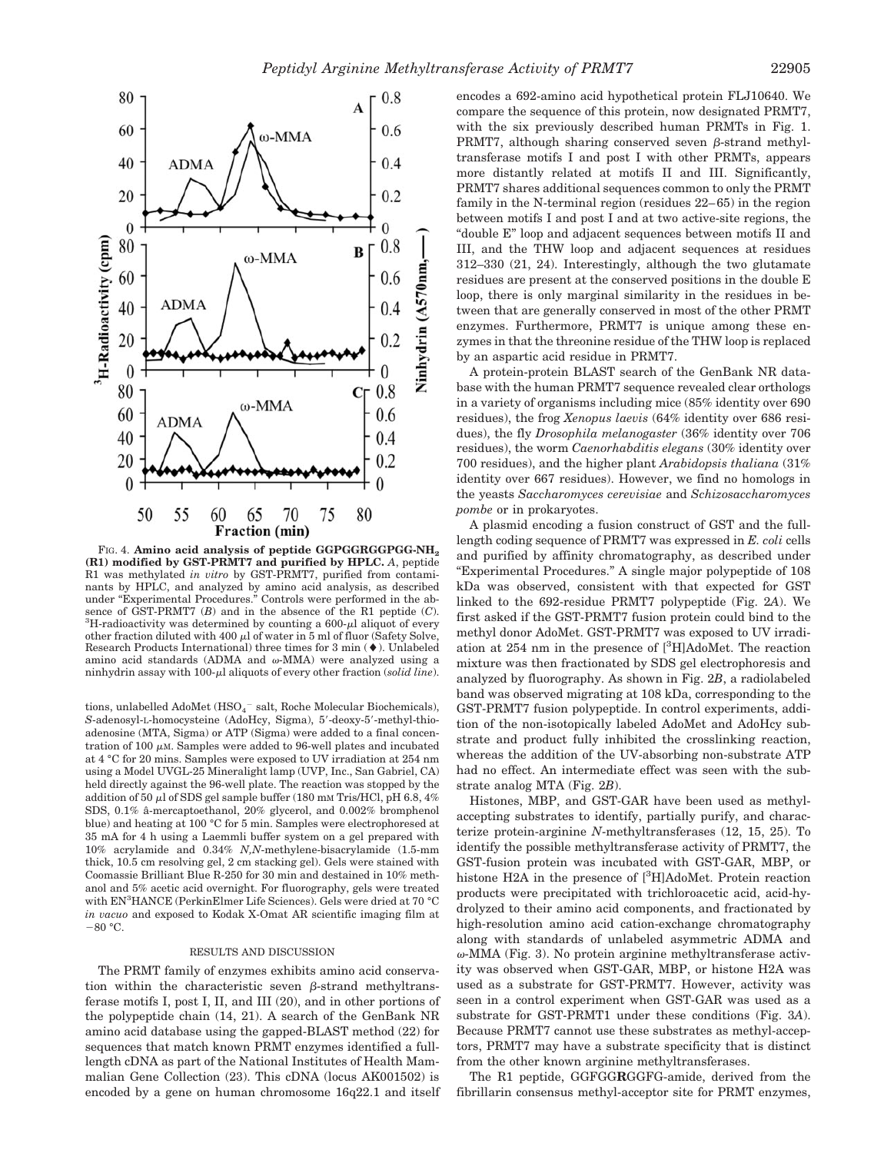

FIG. 4. **Amino acid analysis of peptide GGPGGRGGPGG-NH**<sub>2</sub> **(R1) modified by GST-PRMT7 and purified by HPLC.** *A*, peptide R1 was methylated *in vitro* by GST-PRMT7, purified from contaminants by HPLC, and analyzed by amino acid analysis, as described under "Experimental Procedures." Controls were performed in the absence of  $\overline{GST-PRMT7}$  (*B*) and in the absence of the R1 peptide (*C*).  ${}^{3}$ H-radioactivity was determined by counting a 600- $\mu$ l aliquot of every other fraction diluted with 400  $\mu$ l of water in 5 ml of fluor (Safety Solve, Research Products International) three times for  $3$  min  $($   $\blacklozenge$  ). Unlabeled amino acid standards (ADMA and  $\omega$ -MMA) were analyzed using a ninhydrin assay with 100-µl aliquots of every other fraction (*solid line*).

tions, unlabelled AdoMet  $(\mathrm{HSO_4}^-$  salt, Roche Molecular Biochemicals), S-adenosyl-L-homocysteine (AdoHcy, Sigma), 5'-deoxy-5'-methyl-thioadenosine (MTA, Sigma) or ATP (Sigma) were added to a final concentration of 100  $\mu$ M. Samples were added to 96-well plates and incubated at 4 °C for 20 mins. Samples were exposed to UV irradiation at 254 nm using a Model UVGL-25 Mineralight lamp (UVP, Inc., San Gabriel, CA) held directly against the 96-well plate. The reaction was stopped by the addition of 50  $\mu$ l of SDS gel sample buffer (180 mM Tris/HCl, pH 6.8, 4% SDS, 0.1% â-mercaptoethanol, 20% glycerol, and 0.002% bromphenol blue) and heating at 100 °C for 5 min. Samples were electrophoresed at 35 mA for 4 h using a Laemmli buffer system on a gel prepared with 10% acrylamide and 0.34% *N,N*-methylene-bisacrylamide (1.5-mm thick, 10.5 cm resolving gel, 2 cm stacking gel). Gels were stained with Coomassie Brilliant Blue R-250 for 30 min and destained in 10% methanol and 5% acetic acid overnight. For fluorography, gels were treated with EN3 HANCE (PerkinElmer Life Sciences). Gels were dried at 70 °C *in vacuo* and exposed to Kodak X-Omat AR scientific imaging film at  $-80 °C$ .

### RESULTS AND DISCUSSION

The PRMT family of enzymes exhibits amino acid conservation within the characteristic seven  $\beta$ -strand methyltransferase motifs I, post I, II, and III (20), and in other portions of the polypeptide chain (14, 21). A search of the GenBank NR amino acid database using the gapped-BLAST method (22) for sequences that match known PRMT enzymes identified a fulllength cDNA as part of the National Institutes of Health Mammalian Gene Collection (23). This cDNA (locus AK001502) is encoded by a gene on human chromosome 16q22.1 and itself encodes a 692-amino acid hypothetical protein FLJ10640. We compare the sequence of this protein, now designated PRMT7, with the six previously described human PRMTs in Fig. 1. PRMT7, although sharing conserved seven  $\beta$ -strand methyltransferase motifs I and post I with other PRMTs, appears more distantly related at motifs II and III. Significantly, PRMT7 shares additional sequences common to only the PRMT family in the N-terminal region (residues 22–65) in the region between motifs I and post I and at two active-site regions, the "double E" loop and adjacent sequences between motifs II and III, and the THW loop and adjacent sequences at residues 312–330 (21, 24). Interestingly, although the two glutamate residues are present at the conserved positions in the double E loop, there is only marginal similarity in the residues in between that are generally conserved in most of the other PRMT enzymes. Furthermore, PRMT7 is unique among these enzymes in that the threonine residue of the THW loop is replaced by an aspartic acid residue in PRMT7.

A protein-protein BLAST search of the GenBank NR database with the human PRMT7 sequence revealed clear orthologs in a variety of organisms including mice (85% identity over 690 residues), the frog *Xenopus laevis* (64% identity over 686 residues), the fly *Drosophila melanogaster* (36% identity over 706 residues), the worm *Caenorhabditis elegans* (30% identity over 700 residues), and the higher plant *Arabidopsis thaliana* (31% identity over 667 residues). However, we find no homologs in the yeasts *Saccharomyces cerevisiae* and *Schizosaccharomyces pombe* or in prokaryotes.

A plasmid encoding a fusion construct of GST and the fulllength coding sequence of PRMT7 was expressed in *E. coli* cells and purified by affinity chromatography, as described under "Experimental Procedures." A single major polypeptide of 108 kDa was observed, consistent with that expected for GST linked to the 692-residue PRMT7 polypeptide (Fig. 2*A*). We first asked if the GST-PRMT7 fusion protein could bind to the methyl donor AdoMet. GST-PRMT7 was exposed to UV irradiation at 254 nm in the presence of [<sup>3</sup>H]AdoMet. The reaction mixture was then fractionated by SDS gel electrophoresis and analyzed by fluorography. As shown in Fig. 2*B*, a radiolabeled band was observed migrating at 108 kDa, corresponding to the GST-PRMT7 fusion polypeptide. In control experiments, addition of the non-isotopically labeled AdoMet and AdoHcy substrate and product fully inhibited the crosslinking reaction, whereas the addition of the UV-absorbing non-substrate ATP had no effect. An intermediate effect was seen with the substrate analog MTA (Fig. 2*B*).

Histones, MBP, and GST-GAR have been used as methylaccepting substrates to identify, partially purify, and characterize protein-arginine *N*-methyltransferases (12, 15, 25). To identify the possible methyltransferase activity of PRMT7, the GST-fusion protein was incubated with GST-GAR, MBP, or histone H2A in the presence of [<sup>3</sup>H]AdoMet. Protein reaction products were precipitated with trichloroacetic acid, acid-hydrolyzed to their amino acid components, and fractionated by high-resolution amino acid cation-exchange chromatography along with standards of unlabeled asymmetric ADMA and  $\omega$ -MMA (Fig. 3). No protein arginine methyltransferase activity was observed when GST-GAR, MBP, or histone H2A was used as a substrate for GST-PRMT7. However, activity was seen in a control experiment when GST-GAR was used as a substrate for GST-PRMT1 under these conditions (Fig. 3*A*). Because PRMT7 cannot use these substrates as methyl-acceptors, PRMT7 may have a substrate specificity that is distinct from the other known arginine methyltransferases.

The R1 peptide, GGFGG**R**GGFG-amide, derived from the fibrillarin consensus methyl-acceptor site for PRMT enzymes,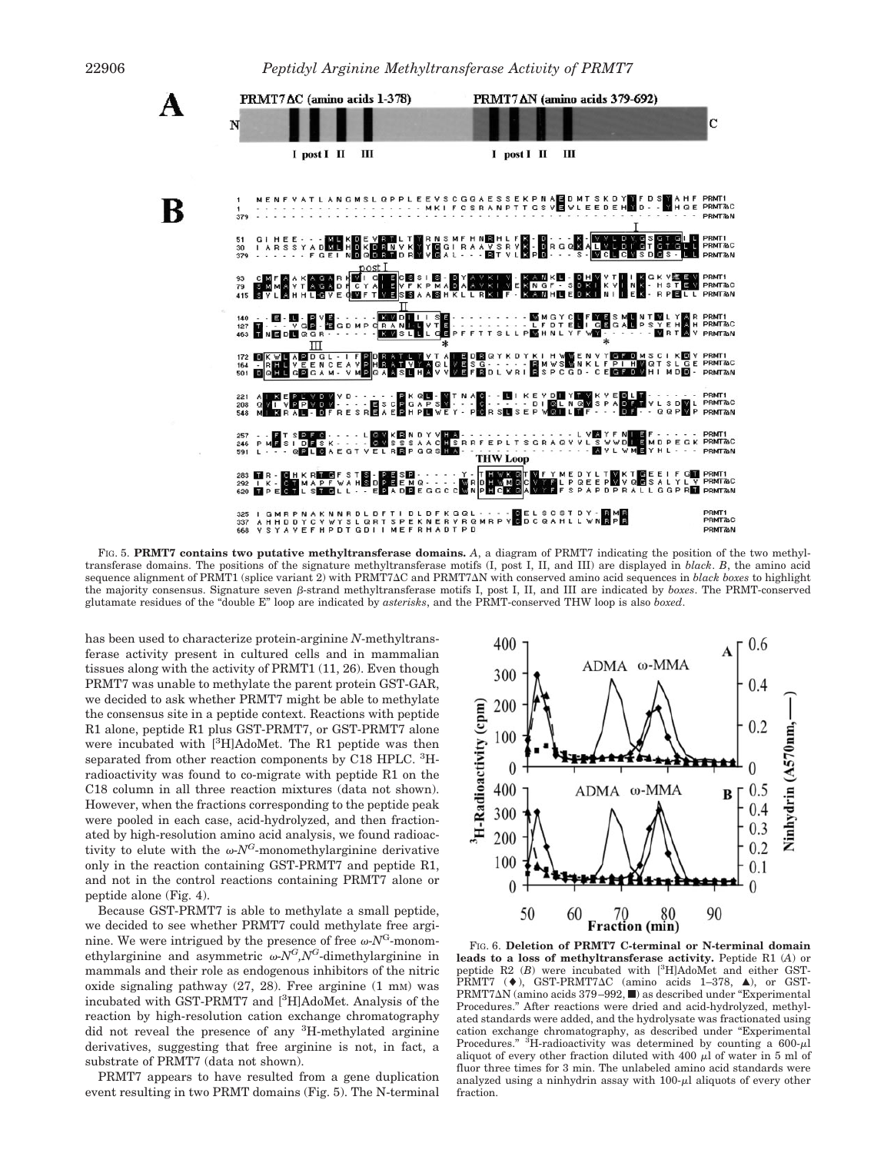

FIG. 5. **PRMT7 contains two putative methyltransferase domains.** *A*, a diagram of PRMT7 indicating the position of the two methyltransferase domains. The positions of the signature methyltransferase motifs (I, post I, II, and III) are displayed in *black*. *B*, the amino acid sequence alignment of PRMT1 (splice variant 2) with PRMT7AC and PRMT7AN with conserved amino acid sequences in *black boxes* to highlight the majority consensus. Signature seven  $\beta$ -strand methyltransferase motifs I, post I, II, and III are indicated by *boxes*. The PRMT-conserved glutamate residues of the "double E" loop are indicated by *asterisks*, and the PRMT-conserved THW loop is also *boxed*.

has been used to characterize protein-arginine *N*-methyltransferase activity present in cultured cells and in mammalian tissues along with the activity of PRMT1 (11, 26). Even though PRMT7 was unable to methylate the parent protein GST-GAR, we decided to ask whether PRMT7 might be able to methylate the consensus site in a peptide context. Reactions with peptide R1 alone, peptide R1 plus GST-PRMT7, or GST-PRMT7 alone were incubated with [3H]AdoMet. The R1 peptide was then separated from other reaction components by C18 HPLC. <sup>3</sup>Hradioactivity was found to co-migrate with peptide R1 on the C18 column in all three reaction mixtures (data not shown). However, when the fractions corresponding to the peptide peak were pooled in each case, acid-hydrolyzed, and then fractionated by high-resolution amino acid analysis, we found radioactivity to elute with the  $\omega$ -*N<sup>G*</sup>-monomethylarginine derivative only in the reaction containing GST-PRMT7 and peptide R1, and not in the control reactions containing PRMT7 alone or peptide alone (Fig. 4).

Because GST-PRMT7 is able to methylate a small peptide, we decided to see whether PRMT7 could methylate free arginine. We were intrigued by the presence of free  $\omega$ - $N<sup>G</sup>$ -monomethylarginine and asymmetric  $\omega N^G N^G$ -dimethylarginine in mammals and their role as endogenous inhibitors of the nitric oxide signaling pathway  $(27, 28)$ . Free arginine  $(1 \text{ mm})$  was incubated with GST-PRMT7 and [3 H]AdoMet. Analysis of the reaction by high-resolution cation exchange chromatography did not reveal the presence of any <sup>3</sup>H-methylated arginine derivatives, suggesting that free arginine is not, in fact, a substrate of PRMT7 (data not shown).

PRMT7 appears to have resulted from a gene duplication event resulting in two PRMT domains (Fig. 5). The N-terminal



FIG. 6. **Deletion of PRMT7 C-terminal or N-terminal domain leads to a loss of methyltransferase activity.** Peptide R1 (*A*) or peptide R2 (B) were incubated with [<sup>3</sup>H]AdoMet and either GST-PRMT7 ( $\blacklozenge$ ), GST-PRMT7 $\Delta$ C (amino acids 1-378,  $\blacktriangle$ ), or GST-PRMT7 $\Delta$ N (amino acids 379–992,  $\blacksquare$ ) as described under "Experimental Procedures." After reactions were dried and acid-hydrolyzed, methylated standards were added, and the hydrolysate was fractionated using cation exchange chromatography, as described under "Experimental Procedures."  ${}^{3}$ H-radioactivity was determined by counting a 600- $\mu$ l aliquot of every other fraction diluted with 400  $\mu$ l of water in 5 ml of fluor three times for 3 min. The unlabeled amino acid standards were analyzed using a ninhydrin assay with  $100-\mu l$  aliquots of every other fraction.